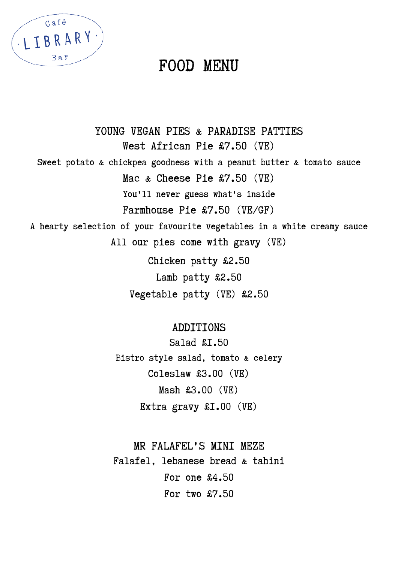

# FOOD MENU

YOUNG VEGAN PIES & PARADISE PATTIES West African Pie £7.50 (VE) Sweet potato & chickpea goodness with a peanut butter & tomato sauce Mac & Cheese Pie £7.50 (VE) You'll never guess what's inside Farmhouse Pie £7.50 (VE/GF) A hearty selection of your favourite vegetables in a white creamy sauce All our pies come with gravy (VE) Chicken patty £2.50 Lamb patty £2.50

Vegetable patty (VE) £2.50

ADDITIONS

Salad £1.50 Bistro style salad, tomato & celery Coleslaw £3.00 (VE) Mash £3.00 (VE) Extra gravy £1.00 (VE)

MR FALAFEL'S MINI MEZE Falafel, lebanese bread & tahini For one £4.50 For two £7.50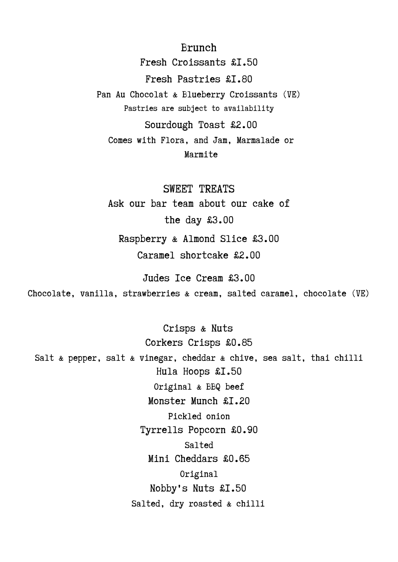Brunch Fresh Croissants £1.50 Fresh Pastries £1.80 Pan Au Chocolat & Blueberry Croissants (VE) Pastries are subject to availability Sourdough Toast £2.00 Comes with Flora, and Jam, Marmalade or Marmite

SWEET TREATS Ask our bar team about our cake of the day £3.00 Raspberry & Almond Slice £3.00 Caramel shortcake £2.00

Judes Ice Cream £3.00

Chocolate, vanilla, strawberries & cream, salted caramel, chocolate (VE)

Crisps & Nuts Corkers Crisps £0.85 Salt & pepper, salt & vinegar, cheddar & chive, sea salt, thai chilli Hula Hoops £1.50 Original & BBQ beef Monster Munch £1.20 Pickled onion Tyrrells Popcorn £0.90 Salted Mini Cheddars £0.65 Original Nobby's Nuts £1.50 Salted, dry roasted & chilli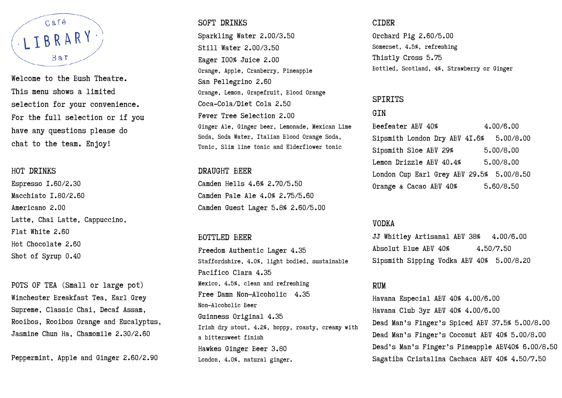

Welcome to the Bush Theatre. This menu shows a limited selection for your convenience. For the full selection or if you have any questions please do chat to the team. Enjoy!

## HOT DRINKS

Espresso 1.60/2.30 Macchiato **I.80/2.60** Americano 2.00 Latte, Chai Latte, Cappuccino, Flat White 2.60 Hot Chocolate 2.60 Shot of Syrup 0.40

POTS OF TEA (Small or large pot) Winchester Breakfast Tea, Earl Grey Supreme, Classic Chai, Decaf Assam, Rooibos, Rooibos Orange and Eucalyptus, Jasmine Chun Ha, Chamomile 2.30/2.60

Peppermint, Apple and Ginger 2.60/2.90

#### SOFT DRINKS

Sparkling Water 2.00/3.50 Still Water 2.00/3.50 Eager 100% Juice 2.00 Orange, Apple, Cranberry, Pineapple San Pellegrino 2.60 Orange, Lemon, Grapefruit, Blood Orange Coca-Cola/Diet Cola 2.50 Fever Tree Selection 2.00 Ginger Ale, Ginger beer, Lemonade, Mexican Lime Soda, Soda Water, Italian Blood Orange Soda, Tonic, Slim line tonic and Elderflower tonic

#### DRAUGHT BEER

Camden Hells 4.6% 2.70/5.50 Camden Pale Ale 4.0% 2.75/5.60 Camden Guest Lager 5.8% 2.60/5.00

### BOTTLED BEER

Freedom Authentic Lager 4.35 Staffordshire, 4.0%, light bodied, sustainable Pacifico Clara 4.35 Mexico, 4.5%, clean and refreshing Free Damn Non—Alcoholic 4.35 Non—Alcoholic Beer Guinness Original 4.35 Irish dry stout, 4.2%, hoppy, roasty, creamy with a bittersweet finish Hawkes Ginger Beer 3.80 London, 4.0%, natural ginger.

## CIDER

Orchard Pig 2.60/5.00 Somerset, 4.5%, refreshing Thistly Cross 5.75 Bottled, Scotland, 4%, Strawberry or Ginger

## **SPIRITS**

#### **GTN**

Beefeater ABV 40% 4.00/6.00 Sipsmith London Dry ABV 41.6% 5.00/8.00 Sipsmith Sloe ABV 29% 5.00/8.00 Lemon Drizzle ABV 40.4% 5.00/8.00 London Cup Earl Grey ABV 29.5% 5.00/8.50 Orange & Cacao ABV 40% 5.60/8.50

#### VODKA

JJ Whitley Artisanal ABV 38% 4.00/6.00 Absolut Blue ABV 40% 4.50/7.50 Sipsmith Sipping Vodka ABV 40% 5.00/8.20

## RUM

Havana Especial ABV 40% 4.00/6.00 Havana Club 3yr ABV 40% 4.00/6.00 Dead Man's Finger's Spiced ABV 37.5% 5.00/8.00 Dead Man's Finger's Coconut ABV 40% 5.00/8.00 Dead's Man's Finger's Pineapple ABV40% 6.00/8.50 Sagatiba Cristalina Cachaca ABV 40% 4.50/7.50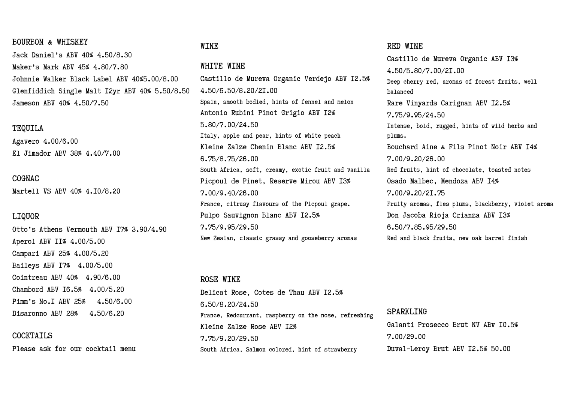## BOURBON & WHISKEY

Jack Daniel's ABV 40% 4.50/8.30 Maker's Mark ABV 45% 4.80/7.80 Johnnie Walker Black Label ABV 40%5.00/8.00 Glenfiddich Single Malt 12yr ABV 40% 5.50/8.50 Jameson ABV 40% 4.50/7.50

#### TEQUILA

Agavero 4.00/6.00 El Jimador ABV 38% 4.40/7.00

COGNAC Martell VS ABV 40% 4.10/8.20

# LIQUOR

Otto's Athens Vermouth ABV 17% 3.90/4.90 Aperol ABV 11% 4.00/5.00 Campari ABV 25% 4.00/5.20 Baileys ABV 17% 4.00/5.00 Cointreau ABV 40% 4.90/6.00 Chambord ABV 16.5% 4.00/5.20 Pimm's No.1 ABV 25% 4.50/6.00 Disaronno ABV 28% 4.50/6.20

# COCKTAILS

Please ask for our cocktail menu

# WINE<sub></sub>

WHITE WINE

Castillo de Mureva Organic Verdejo ABV 12.5% 4.50/6.50/8.20/21.00 Spain, smooth bodied, hints of fennel and melon Antonio Rubini Pinot Grigio ABV 12% 5.80/7.00/24.50 Italy, apple and pear, hints of white peach Kleine Zalze Chenin Blanc ABV 12.5% 6.75/8.75/26.00 South Africa, soft, creamy, exotic fruit and vanilla Picpoul de Pinet, Reserve Mirou ABV 13% 7.00/9.40/26.00 France, citrusy flavours of the Picpoul grape. Pulpo Sauvignon Blanc ABV 12.5% 7.75/9.95/29.50 New Zealan, classic grassy and gooseberry aromas

ROSE WINE Delicat Rose, Cotes de Thau ABV 12.5% 6.50/8.20/24.50 France, Redcurrant, raspberry on the nose, refreshing Kleine Zalze Rose ABV 12% 7.75/9.20/29.50 South Africa, Salmon colored, hint of strawberry

#### RED WINE

Castillo de Mureva Organic ABV 13% 4.50/5.80/7.00/21.00 Deep cherry red, aromas of forest fruits, well balanced Rare Vinyards Carignan ABV 12.5% 7.75/9.95/24.50 Intense, bold, rugged, hints of wild herbs and plums. Bouchard Aine & Fils Pinot Noir ABV 14% 7.00/9.20/26.00 Red fruits, hint of chocolate, toasted notes Osado Malbec, Mendoza ABV 14% 7.00/9.20/21.75 Fruity aromas, fles plums, blackberry, violet aroma Don Jacoba Rioja Crianza ABV 13% 6.50/7.85.95/29.50 Red and black fruits, new oak barrel finish

#### SPARKLING

Galanti Prosecco Brut NV ABv 10.5% 7.00/29.00 Duval–Leroy Brut ABV 12.5% 50.00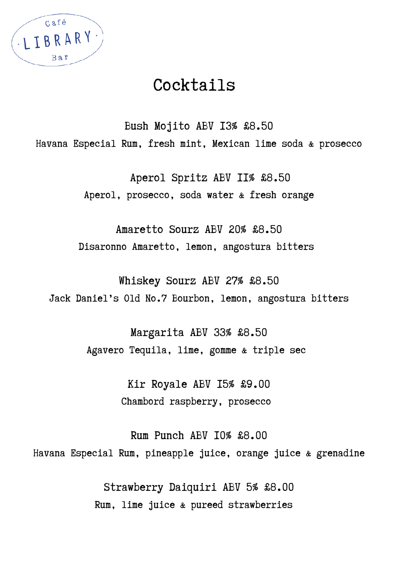

# Cocktails

Bush Mojito ABV 13% £8.50 Havana Especial Rum, fresh mint, Mexican lime soda & prosecco

> Aperol Spritz ABV 11% £8.50 Aperol, prosecco, soda water & fresh orange

Amaretto Sourz ABV 20% £8.50 Disaronno Amaretto, lemon, angostura bitters

Whiskey Sourz ABV 27% £8.50 Jack Daniel's Old No.7 Bourbon, lemon, angostura bitters

> Margarita ABV 33% £8.50 Agavero Tequila, lime, gomme & triple sec

> > Kir Royale ABV 15% £9.00 Chambord raspberry, prosecco

Rum Punch ABV 10% £8.00 Havana Especial Rum, pineapple juice, orange juice & grenadine

> Strawberry Daiquiri ABV 5% £8.00 Rum, lime juice & pureed strawberries